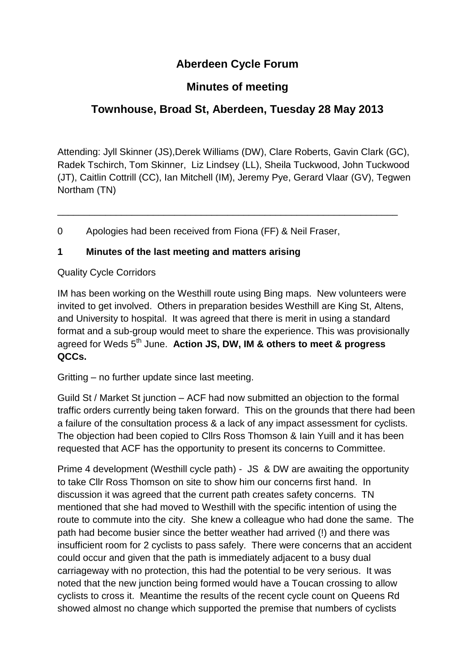# **Aberdeen Cycle Forum**

### **Minutes of meeting**

# **Townhouse, Broad St, Aberdeen, Tuesday 28 May 2013**

Attending: Jyll Skinner (JS),Derek Williams (DW), Clare Roberts, Gavin Clark (GC), Radek Tschirch, Tom Skinner, Liz Lindsey (LL), Sheila Tuckwood, John Tuckwood (JT), Caitlin Cottrill (CC), Ian Mitchell (IM), Jeremy Pye, Gerard Vlaar (GV), Tegwen Northam (TN)

\_\_\_\_\_\_\_\_\_\_\_\_\_\_\_\_\_\_\_\_\_\_\_\_\_\_\_\_\_\_\_\_\_\_\_\_\_\_\_\_\_\_\_\_\_\_\_\_\_\_\_\_\_\_\_\_\_\_\_\_\_\_\_\_

0 Apologies had been received from Fiona (FF) & Neil Fraser,

#### **1 Minutes of the last meeting and matters arising**

#### Quality Cycle Corridors

IM has been working on the Westhill route using Bing maps. New volunteers were invited to get involved. Others in preparation besides Westhill are King St, Altens, and University to hospital. It was agreed that there is merit in using a standard format and a sub-group would meet to share the experience. This was provisionally agreed for Weds 5<sup>th</sup> June. **Action JS, DW, IM & others to meet & progress QCCs.**

Gritting – no further update since last meeting.

Guild St / Market St junction – ACF had now submitted an objection to the formal traffic orders currently being taken forward. This on the grounds that there had been a failure of the consultation process & a lack of any impact assessment for cyclists. The objection had been copied to Cllrs Ross Thomson & Iain Yuill and it has been requested that ACF has the opportunity to present its concerns to Committee.

Prime 4 development (Westhill cycle path) - JS & DW are awaiting the opportunity to take Cllr Ross Thomson on site to show him our concerns first hand. In discussion it was agreed that the current path creates safety concerns. TN mentioned that she had moved to Westhill with the specific intention of using the route to commute into the city. She knew a colleague who had done the same. The path had become busier since the better weather had arrived (!) and there was insufficient room for 2 cyclists to pass safely. There were concerns that an accident could occur and given that the path is immediately adjacent to a busy dual carriageway with no protection, this had the potential to be very serious. It was noted that the new junction being formed would have a Toucan crossing to allow cyclists to cross it. Meantime the results of the recent cycle count on Queens Rd showed almost no change which supported the premise that numbers of cyclists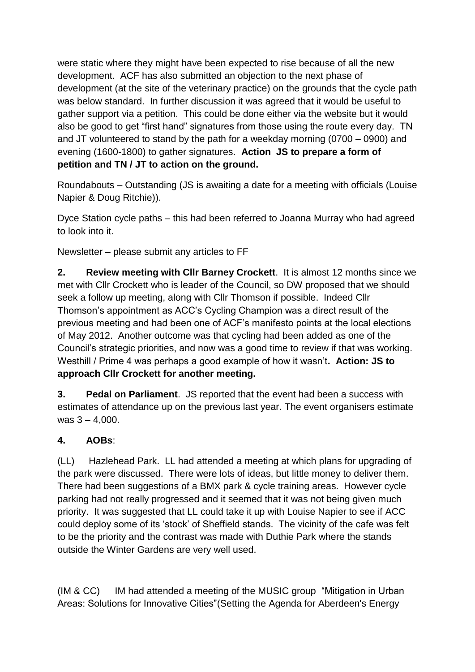were static where they might have been expected to rise because of all the new development. ACF has also submitted an objection to the next phase of development (at the site of the veterinary practice) on the grounds that the cycle path was below standard. In further discussion it was agreed that it would be useful to gather support via a petition. This could be done either via the website but it would also be good to get "first hand" signatures from those using the route every day. TN and JT volunteered to stand by the path for a weekday morning (0700 – 0900) and evening (1600-1800) to gather signatures. **Action JS to prepare a form of petition and TN / JT to action on the ground.**

Roundabouts – Outstanding (JS is awaiting a date for a meeting with officials (Louise Napier & Doug Ritchie)).

Dyce Station cycle paths – this had been referred to Joanna Murray who had agreed to look into it.

Newsletter – please submit any articles to FF

**2. Review meeting with Cllr Barney Crockett**. It is almost 12 months since we met with Cllr Crockett who is leader of the Council, so DW proposed that we should seek a follow up meeting, along with Cllr Thomson if possible. Indeed Cllr Thomson's appointment as ACC's Cycling Champion was a direct result of the previous meeting and had been one of ACF's manifesto points at the local elections of May 2012. Another outcome was that cycling had been added as one of the Council's strategic priorities, and now was a good time to review if that was working. Westhill / Prime 4 was perhaps a good example of how it wasn't**. Action: JS to approach Cllr Crockett for another meeting.**

**3. Pedal on Parliament**. JS reported that the event had been a success with estimates of attendance up on the previous last year. The event organisers estimate was  $3 - 4,000$ .

### **4. AOBs**:

(LL) Hazlehead Park. LL had attended a meeting at which plans for upgrading of the park were discussed. There were lots of ideas, but little money to deliver them. There had been suggestions of a BMX park & cycle training areas. However cycle parking had not really progressed and it seemed that it was not being given much priority. It was suggested that LL could take it up with Louise Napier to see if ACC could deploy some of its 'stock' of Sheffield stands. The vicinity of the cafe was felt to be the priority and the contrast was made with Duthie Park where the stands outside the Winter Gardens are very well used.

(IM & CC) IM had attended a meeting of the MUSIC group "Mitigation in Urban Areas: Solutions for Innovative Cities"(Setting the Agenda for Aberdeen's Energy